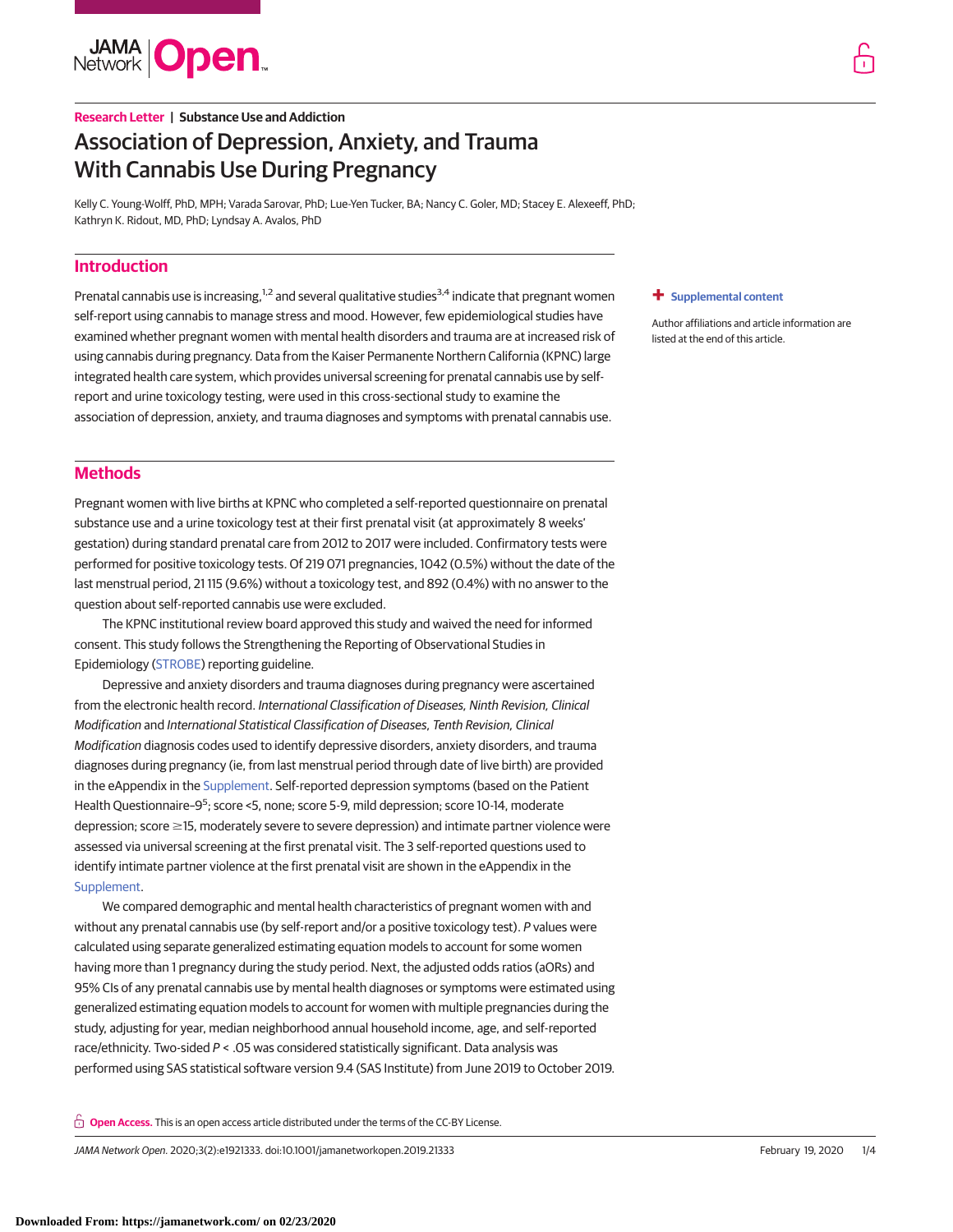**JAMA Open** 

# **Research Letter | Substance Use and Addiction** Association of Depression, Anxiety, and Trauma With Cannabis Use During Pregnancy

Kelly C. Young-Wolff, PhD, MPH; Varada Sarovar, PhD; Lue-Yen Tucker, BA; Nancy C. Goler, MD; Stacey E. Alexeeff, PhD; Kathryn K. Ridout, MD, PhD; Lyndsay A. Avalos, PhD

# **Introduction**

Prenatal cannabis use is increasing,<sup>1,2</sup> and several qualitative studies<sup>3,4</sup> indicate that pregnant women self-report using cannabis to manage stress and mood. However, few epidemiological studies have examined whether pregnant women with mental health disorders and trauma are at increased risk of using cannabis during pregnancy. Data from the Kaiser Permanente Northern California (KPNC) large integrated health care system, which provides universal screening for prenatal cannabis use by selfreport and urine toxicology testing, were used in this cross-sectional study to examine the association of depression, anxiety, and trauma diagnoses and symptoms with prenatal cannabis use.

#### **+ [Supplemental content](https://jama.jamanetwork.com/article.aspx?doi=10.1001/jamanetworkopen.2019.21333&utm_campaign=articlePDF%26utm_medium=articlePDFlink%26utm_source=articlePDF%26utm_content=jamanetworkopen.2019.21333)**

Author affiliations and article information are listed at the end of this article.

# **Methods**

Pregnant women with live births at KPNC who completed a self-reported questionnaire on prenatal substance use and a urine toxicology test at their first prenatal visit (at approximately 8 weeks' gestation) during standard prenatal care from 2012 to 2017 were included. Confirmatory tests were performed for positive toxicology tests. Of 219 071 pregnancies, 1042 (0.5%) without the date of the last menstrual period, 21 115 (9.6%) without a toxicology test, and 892 (0.4%) with no answer to the question about self-reported cannabis use were excluded.

The KPNC institutional review board approved this study and waived the need for informed consent. This study follows the Strengthening the Reporting of Observational Studies in Epidemiology [\(STROBE\)](http://www.equator-network.org/reporting-guidelines/strobe/) reporting guideline.

Depressive and anxiety disorders and trauma diagnoses during pregnancy were ascertained from the electronic health record. International Classification of Diseases, Ninth Revision, Clinical Modification and International Statistical Classification of Diseases, Tenth Revision, Clinical Modification diagnosis codes used to identify depressive disorders, anxiety disorders, and trauma diagnoses during pregnancy (ie, from last menstrual period through date of live birth) are provided in the eAppendix in the [Supplement.](https://jama.jamanetwork.com/article.aspx?doi=10.1001/jamanetworkopen.2019.21333&utm_campaign=articlePDF%26utm_medium=articlePDFlink%26utm_source=articlePDF%26utm_content=jamanetworkopen.2019.21333) Self-reported depression symptoms (based on the Patient Health Questionnaire-9<sup>5</sup>; score <5, none; score 5-9, mild depression; score 10-14, moderate depression; score ≥15, moderately severe to severe depression) and intimate partner violence were assessed via universal screening at the first prenatal visit. The 3 self-reported questions used to identify intimate partner violence at the first prenatal visit are shown in the eAppendix in the [Supplement.](https://jama.jamanetwork.com/article.aspx?doi=10.1001/jamanetworkopen.2019.21333&utm_campaign=articlePDF%26utm_medium=articlePDFlink%26utm_source=articlePDF%26utm_content=jamanetworkopen.2019.21333)

We compared demographic and mental health characteristics of pregnant women with and without any prenatal cannabis use (by self-report and/or a positive toxicology test). P values were calculated using separate generalized estimating equation models to account for some women having more than 1 pregnancy during the study period. Next, the adjusted odds ratios (aORs) and 95% CIs of any prenatal cannabis use by mental health diagnoses or symptoms were estimated using generalized estimating equation models to account for women with multiple pregnancies during the study, adjusting for year, median neighborhood annual household income, age, and self-reported race/ethnicity. Two-sided P < .05 was considered statistically significant. Data analysis was performed using SAS statistical software version 9.4 (SAS Institute) from June 2019 to October 2019.

**Open Access.** This is an open access article distributed under the terms of the CC-BY License.

JAMA Network Open. 2020;3(2):e1921333. doi:10.1001/jamanetworkopen.2019.21333 (Reprinted) February 19, 2020 1/4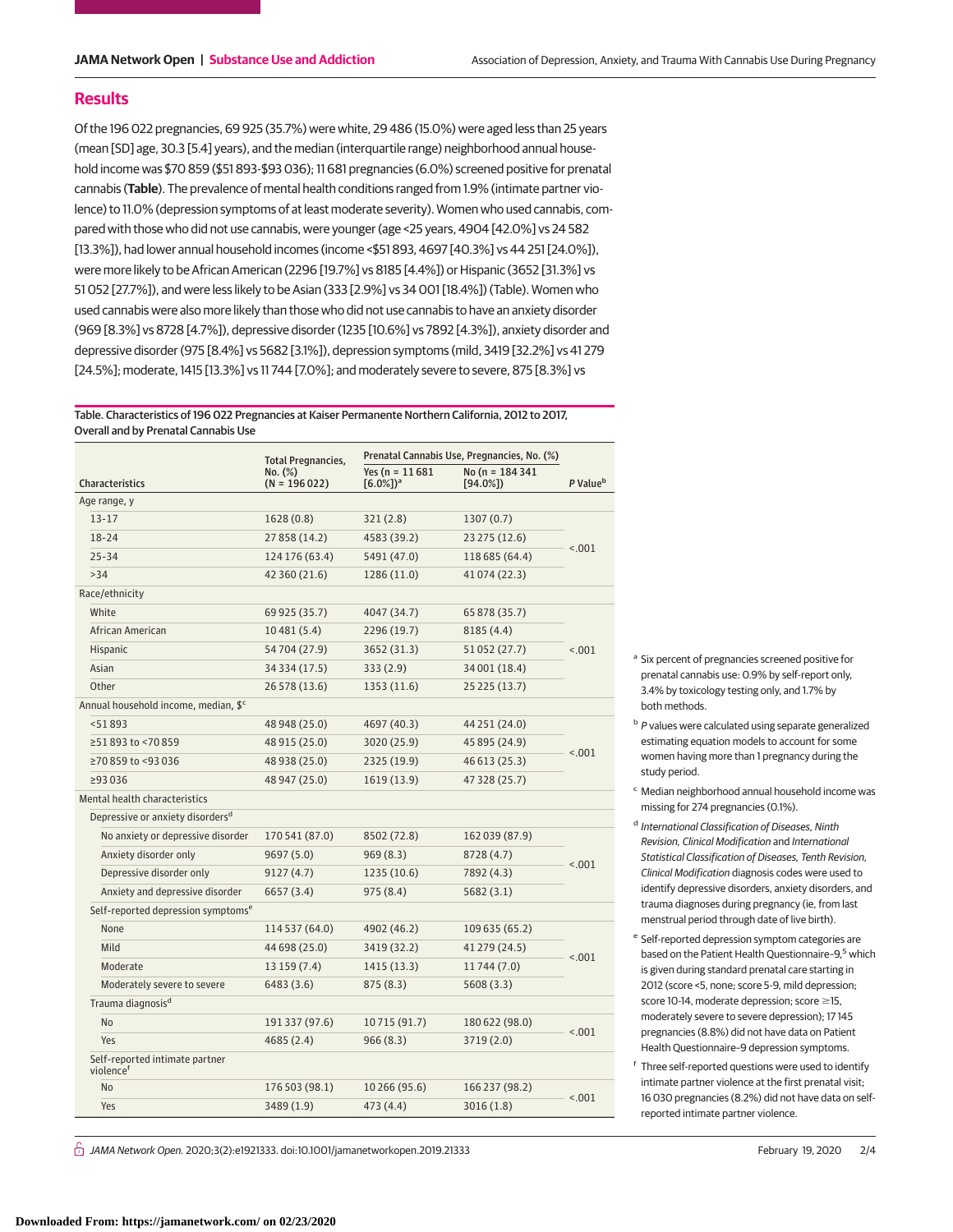### **Results**

Of the 196 022 pregnancies, 69 925 (35.7%) were white, 29 486 (15.0%) were aged less than 25 years (mean [SD] age, 30.3 [5.4] years), and the median (interquartile range) neighborhood annual household income was \$70 859 (\$51 893-\$93 036); 11 681 pregnancies (6.0%) screened positive for prenatal cannabis (**Table**). The prevalence of mental health conditions ranged from 1.9% (intimate partner violence) to 11.0% (depression symptoms of at least moderate severity). Women who used cannabis, compared with those who did not use cannabis, were younger (age <25 years, 4904 [42.0%] vs 24 582 [13.3%]), had lower annual household incomes (income <\$51 893, 4697 [40.3%] vs 44 251 [24.0%]), were more likely to be African American (2296 [19.7%] vs 8185 [4.4%]) or Hispanic (3652 [31.3%] vs 51 052 [27.7%]), and were less likely to be Asian (333 [2.9%] vs 34 001 [18.4%]) (Table). Women who used cannabis were also more likely than those who did not use cannabis to have an anxiety disorder (969 [8.3%] vs 8728 [4.7%]), depressive disorder (1235 [10.6%] vs 7892 [4.3%]), anxiety disorder and depressive disorder (975 [8.4%] vs 5682 [3.1%]), depression symptoms (mild, 3419 [32.2%] vs 41 279 [24.5%]; moderate, 1415 [13.3%] vs 11 744 [7.0%]; and moderately severe to severe, 875 [8.3%] vs

Table. Characteristics of 196 022 Pregnancies at Kaiser Permanente Northern California, 2012 to 2017, Overall and by Prenatal Cannabis Use

|                                                |                                              | <b>Total Pregnancies,</b> |                                             | Prenatal Cannabis Use, Pregnancies, No. (%) |                      |  |
|------------------------------------------------|----------------------------------------------|---------------------------|---------------------------------------------|---------------------------------------------|----------------------|--|
| <b>Characteristics</b>                         |                                              | No. (%)<br>$(N = 196022)$ | Yes $(n = 11681)$<br>$[6.0\%]$ <sup>a</sup> | No (n = 184 341<br>$[94.0\%]$               | P Value <sup>b</sup> |  |
| Age range, y                                   |                                              |                           |                                             |                                             |                      |  |
| $13 - 17$                                      |                                              | 1628(0.8)                 | 321(2.8)                                    | 1307(0.7)                                   | < 0.01               |  |
| $18 - 24$                                      |                                              | 27 858 (14.2)             | 4583 (39.2)                                 | 23 275 (12.6)                               |                      |  |
| $25 - 34$                                      |                                              | 124 176 (63.4)            | 5491 (47.0)                                 | 118 685 (64.4)                              |                      |  |
| >34                                            |                                              | 42 360 (21.6)             | 1286 (11.0)                                 | 41 074 (22.3)                               |                      |  |
| Race/ethnicity                                 |                                              |                           |                                             |                                             |                      |  |
| White                                          |                                              | 69 925 (35.7)             | 4047 (34.7)                                 | 65 878 (35.7)                               |                      |  |
|                                                | African American                             | 10481(5.4)                | 2296 (19.7)                                 | 8185 (4.4)                                  | < 0.01               |  |
| Hispanic                                       |                                              | 54704 (27.9)              | 3652 (31.3)                                 | 51 052 (27.7)                               |                      |  |
| Asian                                          |                                              | 34 334 (17.5)             | 333(2.9)                                    | 34 001 (18.4)                               |                      |  |
| Other                                          |                                              | 26 578 (13.6)             | 1353 (11.6)                                 | 25 225 (13.7)                               |                      |  |
| Annual household income, median, \$c           |                                              |                           |                                             |                                             |                      |  |
| < 51893                                        |                                              | 48 948 (25.0)             | 4697 (40.3)                                 | 44 251 (24.0)                               | < 0.01               |  |
|                                                | ≥51893 to <70859                             | 48 915 (25.0)             | 3020 (25.9)                                 | 45 895 (24.9)                               |                      |  |
|                                                | ≥70859 to <93036                             | 48 938 (25.0)             | 2325 (19.9)                                 | 46 613 (25.3)                               |                      |  |
| ≥93036                                         |                                              | 48 947 (25.0)             | 1619 (13.9)                                 | 47 328 (25.7)                               |                      |  |
| Mental health characteristics                  |                                              |                           |                                             |                                             |                      |  |
|                                                | Depressive or anxiety disorders <sup>d</sup> |                           |                                             |                                             |                      |  |
|                                                | No anxiety or depressive disorder            | 170 541 (87.0)            | 8502 (72.8)                                 | 162 039 (87.9)                              |                      |  |
|                                                | Anxiety disorder only                        | 9697 (5.0)                | 969(8.3)                                    | 8728 (4.7)                                  |                      |  |
|                                                | Depressive disorder only                     | 9127(4.7)                 | 1235 (10.6)                                 | 7892 (4.3)                                  | < .001               |  |
|                                                | Anxiety and depressive disorder              | 6657 (3.4)                | 975 (8.4)                                   | 5682(3.1)                                   |                      |  |
| Self-reported depression symptoms <sup>e</sup> |                                              |                           |                                             |                                             |                      |  |
|                                                | None                                         | 114 537 (64.0)            | 4902 (46.2)                                 | 109 635 (65.2)                              |                      |  |
| Mild                                           |                                              | 44 698 (25.0)             | 3419 (32.2)                                 | 41 279 (24.5)                               |                      |  |
|                                                | Moderate                                     | 13 159 (7.4)              | 1415 (13.3)                                 | 11744 (7.0)                                 | < .001               |  |
|                                                | Moderately severe to severe                  | 6483 (3.6)                | 875 (8.3)                                   | 5608 (3.3)                                  |                      |  |
|                                                | Trauma diagnosis <sup>d</sup>                |                           |                                             |                                             |                      |  |
| <b>No</b>                                      |                                              | 191 337 (97.6)            | 10715 (91.7)                                | 180 622 (98.0)                              |                      |  |
| Yes                                            |                                              | 4685 (2.4)                | 966 (8.3)                                   | 3719 (2.0)                                  | < .001               |  |
| violence <sup>f</sup>                          | Self-reported intimate partner               |                           |                                             |                                             |                      |  |
| No                                             |                                              | 176 503 (98.1)            | 10 266 (95.6)                               | 166 237 (98.2)                              | < 0.01               |  |
| Yes                                            |                                              | 3489 (1.9)                | 473 (4.4)                                   | 3016(1.8)                                   |                      |  |

<sup>a</sup> Six percent of pregnancies screened positive for prenatal cannabis use: 0.9% by self-report only, 3.4% by toxicology testing only, and 1.7% by both methods.

- b P values were calculated using separate generalized estimating equation models to account for some women having more than 1 pregnancy during the study period.
- <sup>c</sup> Median neighborhood annual household income was missing for 274 pregnancies (0.1%).
- <sup>d</sup> International Classification of Diseases, Ninth Revision, Clinical Modification and International Statistical Classification of Diseases, Tenth Revision, Clinical Modification diagnosis codes were used to identify depressive disorders, anxiety disorders, and trauma diagnoses during pregnancy (ie, from last menstrual period through date of live birth).
- <sup>e</sup> Self-reported depression symptom categories are based on the Patient Health Questionnaire-9,<sup>5</sup> which is given during standard prenatal care starting in 2012 (score <5, none; score 5-9, mild depression; score  $10-14$ , moderate depression; score  $\geq$ 15, moderately severe to severe depression); 17 145 pregnancies (8.8%) did not have data on Patient Health Questionnaire–9 depression symptoms.
- <sup>f</sup> Three self-reported questions were used to identify intimate partner violence at the first prenatal visit; 16 030 pregnancies (8.2%) did not have data on selfreported intimate partner violence.

 $\stackrel{\frown}{\Pi}$  JAMA Network Open. 2020;3(2):e1921333. doi:10.1001/jamanetworkopen.2019.21333 February 19, 2020 2/4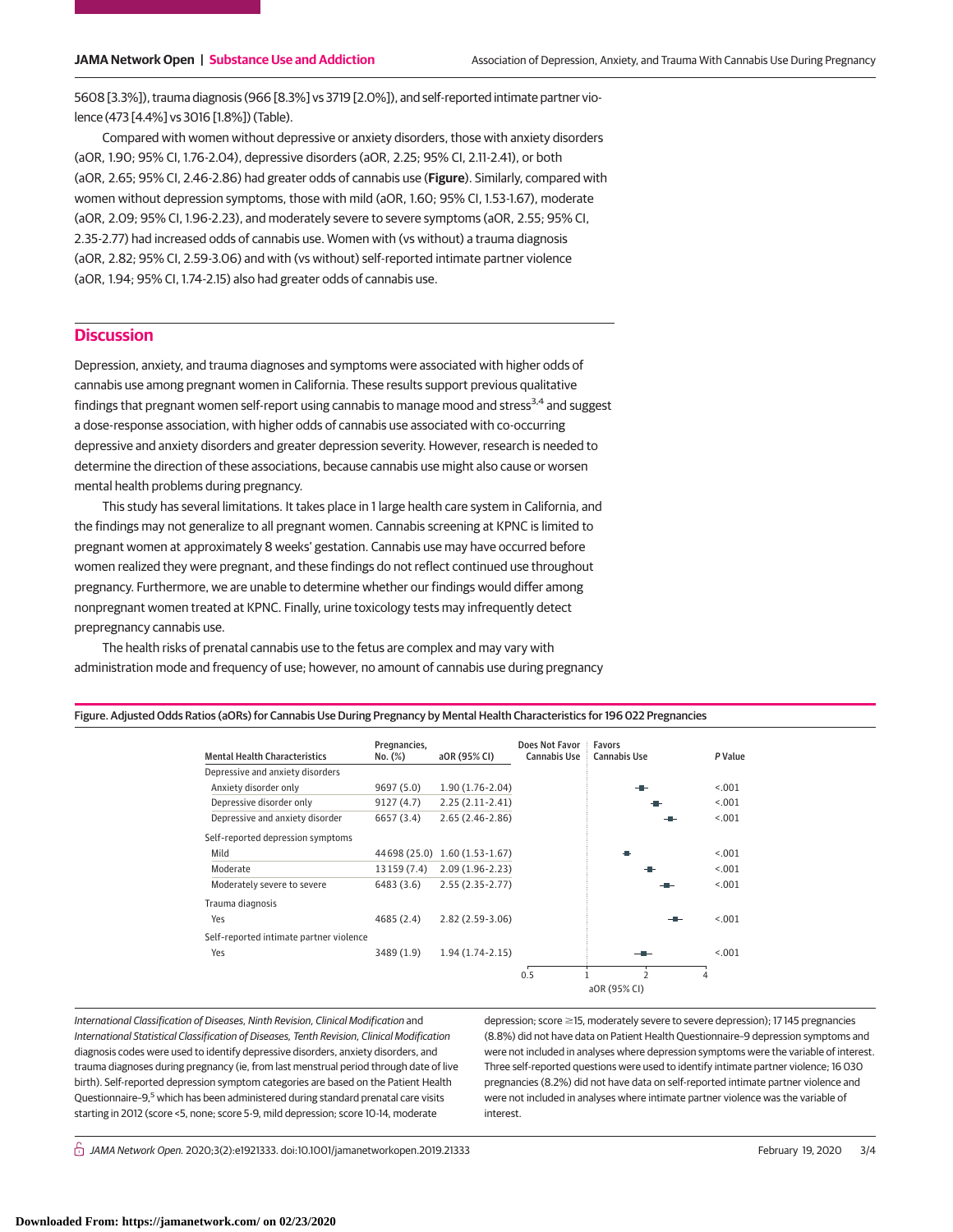5608 [3.3%]), trauma diagnosis (966 [8.3%] vs 3719 [2.0%]), and self-reported intimate partner violence (473 [4.4%] vs 3016 [1.8%]) (Table).

Compared with women without depressive or anxiety disorders, those with anxiety disorders (aOR, 1.90; 95% CI, 1.76-2.04), depressive disorders (aOR, 2.25; 95% CI, 2.11-2.41), or both (aOR, 2.65; 95% CI, 2.46-2.86) had greater odds of cannabis use (**Figure**). Similarly, compared with women without depression symptoms, those with mild (aOR, 1.60; 95% CI, 1.53-1.67), moderate (aOR, 2.09; 95% CI, 1.96-2.23), and moderately severe to severe symptoms (aOR, 2.55; 95% CI, 2.35-2.77) had increased odds of cannabis use. Women with (vs without) a trauma diagnosis (aOR, 2.82; 95% CI, 2.59-3.06) and with (vs without) self-reported intimate partner violence (aOR, 1.94; 95% CI, 1.74-2.15) also had greater odds of cannabis use.

## **Discussion**

Depression, anxiety, and trauma diagnoses and symptoms were associated with higher odds of cannabis use among pregnant women in California. These results support previous qualitative findings that pregnant women self-report using cannabis to manage mood and stress<sup>3,4</sup> and suggest a dose-response association, with higher odds of cannabis use associated with co-occurring depressive and anxiety disorders and greater depression severity. However, research is needed to determine the direction of these associations, because cannabis use might also cause or worsen mental health problems during pregnancy.

This study has several limitations. It takes place in 1 large health care system in California, and the findings may not generalize to all pregnant women. Cannabis screening at KPNC is limited to pregnant women at approximately 8 weeks' gestation. Cannabis use may have occurred before women realized they were pregnant, and these findings do not reflect continued use throughout pregnancy. Furthermore, we are unable to determine whether our findings would differ among nonpregnant women treated at KPNC. Finally, urine toxicology tests may infrequently detect prepregnancy cannabis use.

The health risks of prenatal cannabis use to the fetus are complex and may vary with administration mode and frequency of use; however, no amount of cannabis use during pregnancy

Figure. Adjusted Odds Ratios (aORs) for Cannabis Use During Pregnancy by Mental Health Characteristics for 196 022 Pregnancies

|                                         | Pregnancies, |                     | Does Not Favor | <b>Favors</b>            |         |
|-----------------------------------------|--------------|---------------------|----------------|--------------------------|---------|
| <b>Mental Health Characteristics</b>    | No. (%)      | aOR (95% CI)        | Cannabis Use   | Cannabis Use             | P Value |
| Depressive and anxiety disorders        |              |                     |                |                          |         |
| Anxiety disorder only                   | 9697 (5.0)   | $1.90(1.76-2.04)$   |                |                          | < .001  |
| Depressive disorder only                | 9127 (4.7)   | $2.25(2.11-2.41)$   |                |                          | < 0.01  |
| Depressive and anxiety disorder         | 6657 (3.4)   | $2.65(2.46-2.86)$   |                |                          | < .001  |
| Self-reported depression symptoms       |              |                     |                |                          |         |
| Mild                                    | 44698 (25.0) | $1.60(1.53-1.67)$   |                |                          | < 0.01  |
| Moderate                                | 13 159 (7.4) | $2.09(1.96 - 2.23)$ |                |                          | < .001  |
| Moderately severe to severe             | 6483 (3.6)   | $2.55(2.35-2.77)$   |                |                          | < .001  |
| Trauma diagnosis                        |              |                     |                |                          |         |
| Yes                                     | 4685 (2.4)   | $2.82(2.59-3.06)$   |                |                          | < .001  |
| Self-reported intimate partner violence |              |                     |                |                          |         |
| Yes                                     | 3489 (1.9)   | $1.94(1.74-2.15)$   |                |                          | < 0.01  |
|                                         |              |                     | 0.5            | $\overline{\phantom{a}}$ | 4       |
|                                         |              |                     | aOR (95% CI)   |                          |         |

International Classification of Diseases, Ninth Revision, Clinical Modification and International Statistical Classification of Diseases, Tenth Revision, Clinical Modification diagnosis codes were used to identify depressive disorders, anxiety disorders, and trauma diagnoses during pregnancy (ie, from last menstrual period through date of live birth). Self-reported depression symptom categories are based on the Patient Health Questionnaire-9,<sup>5</sup> which has been administered during standard prenatal care visits starting in 2012 (score <5, none; score 5-9, mild depression; score 10-14, moderate

depression; score ≥15, moderately severe to severe depression); 17 145 pregnancies (8.8%) did not have data on Patient Health Questionnaire–9 depression symptoms and were not included in analyses where depression symptoms were the variable of interest. Three self-reported questions were used to identify intimate partner violence; 16 030 pregnancies (8.2%) did not have data on self-reported intimate partner violence and were not included in analyses where intimate partner violence was the variable of interest.

 $\bigcap$  JAMA Network Open. 2020;3(2):e1921333. doi:10.1001/jamanetworkopen.2019.21333 (Reprinted) February 19, 2020 3/4